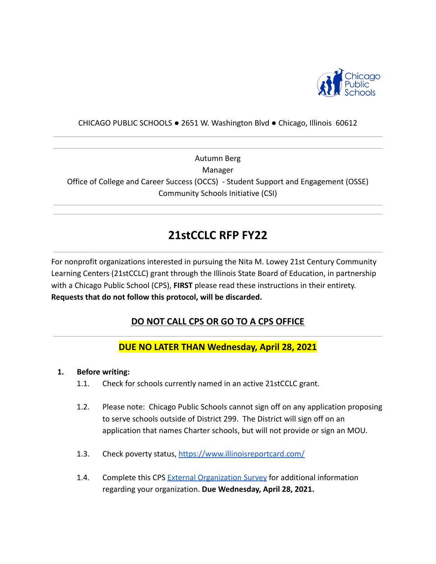

#### CHICAGO PUBLIC SCHOOLS ● 2651 W. Washington Blvd ● Chicago, Illinois 60612

Autumn Berg Manager Office of College and Career Success (OCCS) - Student Support and Engagement (OSSE) Community Schools Initiative (CSI)

# **21stCCLC RFP FY22**

For nonprofit organizations interested in pursuing the Nita M. Lowey 21st Century Community Learning Centers (21stCCLC) grant through the Illinois State Board of Education, in partnership with a Chicago Public School (CPS), **FIRST** please read these instructions in their entirety. **Requests that do not follow this protocol, will be discarded.**

### **DO NOT CALL CPS OR GO TO A CPS OFFICE**

### **DUE NO LATER THAN Wednesday, April 28, 2021**

#### **1. Before writing:**

- 1.1. Check for schools currently named in an active 21stCCLC grant.
- 1.2. Please note: Chicago Public Schools cannot sign off on any application proposing to serve schools outside of District 299. The District will sign off on an application that names Charter schools, but will not provide or sign an MOU.
- 1.3. Check poverty status, <https://www.illinoisreportcard.com/>
- 1.4. Complete this CPS [External Organization Survey](https://docs.google.com/forms/d/e/1FAIpQLSe5R1ACPFXWvZnBQt8M4vL2JjDbawEPq4l1d0ti9jW9I5FvNw/viewform?usp=sf_link) for additional information regarding your organization. **Due Wednesday, April 28, 2021.**